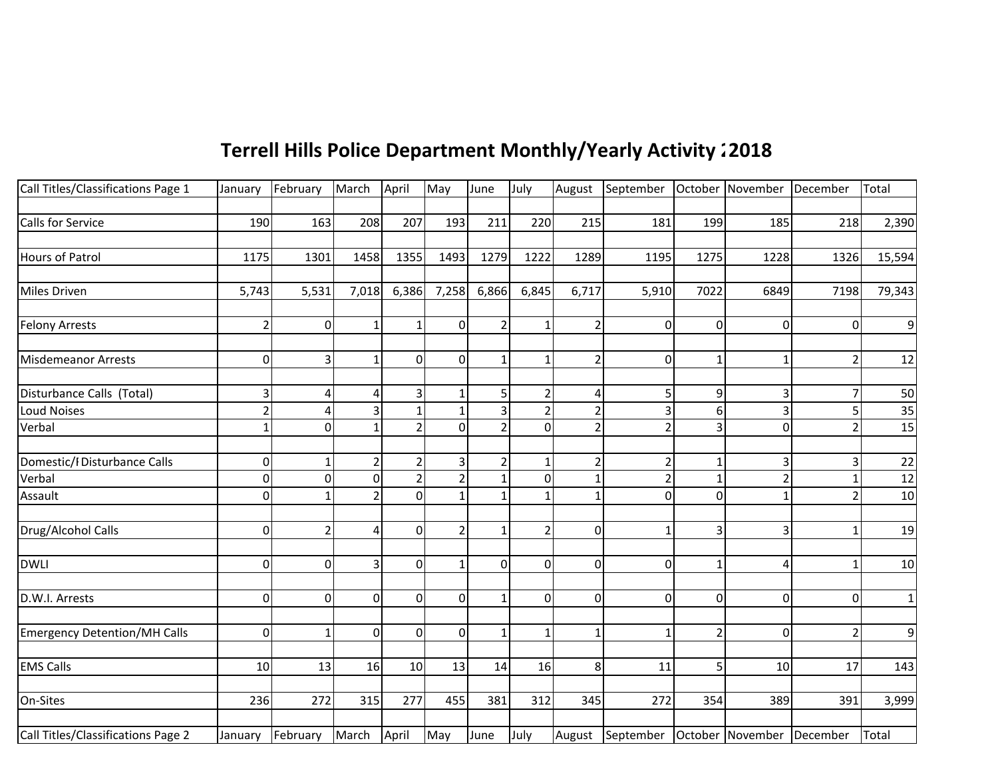## **Terrell Hills Police Department Monthly/Yearly Activity 2015 2018**

| Call Titles/Classifications Page 1  | January        | February         | March          | April    | May            | June           | July           |                | August September October November December |                |                |                | Total           |
|-------------------------------------|----------------|------------------|----------------|----------|----------------|----------------|----------------|----------------|--------------------------------------------|----------------|----------------|----------------|-----------------|
|                                     |                |                  |                |          |                |                |                |                |                                            |                |                |                |                 |
| <b>Calls for Service</b>            | 190            | 163              | 208            | 207      | 193            | 211            | 220            | 215            | 181                                        | 199            | 185            | 218            | 2,390           |
|                                     |                |                  |                |          |                |                |                |                |                                            |                |                |                |                 |
| <b>Hours of Patrol</b>              | 1175           | 1301             | 1458           | 1355     | 1493           | 1279           | 1222           | 1289           | 1195                                       | 1275           | 1228           | 1326           | 15,594          |
|                                     |                |                  |                |          |                |                |                |                |                                            |                |                |                |                 |
| <b>Miles Driven</b>                 | 5,743          | 5,531            | 7,018          | 6,386    | 7,258          | 6,866          | 6,845          | 6,717          | 5,910                                      | 7022           | 6849           | 7198           | 79,343          |
|                                     |                |                  |                |          |                |                |                |                |                                            |                |                |                |                 |
| <b>Felony Arrests</b>               | $\overline{2}$ | $\mathbf{0}$     |                |          | $\overline{0}$ | $\overline{2}$ |                | 2              | 0                                          | $\mathbf 0$    | $\Omega$       | $\overline{0}$ | 9               |
|                                     |                |                  |                |          |                |                |                |                |                                            |                |                |                |                 |
| <b>Misdemeanor Arrests</b>          | 0              | 3                |                | $\Omega$ | $\overline{0}$ | $\mathbf{1}$   |                | $\overline{2}$ | 0                                          |                |                | $\overline{2}$ | 12              |
|                                     |                |                  |                |          |                |                |                |                |                                            |                |                |                |                 |
| Disturbance Calls (Total)           | 3              | 4                |                |          |                | $\mathsf{5}$   | 2              | 4              | 5                                          | 9              |                | 7              | 50              |
| <b>Loud Noises</b>                  | $\overline{2}$ | Δ                |                |          |                | 3              | 2              | $\overline{2}$ | 3                                          | 6              |                | 5              | 35              |
| Verbal                              | $\overline{1}$ | $\Omega$         |                |          | $\Omega$       | $\overline{2}$ | $\Omega$       | $\overline{2}$ | $\overline{2}$                             | 3              | $\Omega$       | $\mathcal{P}$  | 15              |
|                                     |                |                  |                |          |                |                |                |                |                                            |                |                |                |                 |
| Domestic/I Disturbance Calls        | 0              |                  | $\overline{2}$ |          | 3              | $\overline{2}$ |                | $\overline{2}$ | 2                                          | 1              |                | 3              | 22              |
| Verbal                              | 0              | $\Omega$         | $\overline{0}$ |          |                | 1              | $\Omega$       | 1              | 2                                          | 1              |                |                | 12              |
| Assault                             | 0              |                  | $\mathfrak{p}$ |          |                |                |                | $\mathbf{1}$   | $\overline{0}$                             | $\Omega$       |                | $\mathcal{P}$  | 10              |
|                                     |                |                  |                |          |                |                |                |                |                                            |                |                |                |                 |
| Drug/Alcohol Calls                  | 0              | $\overline{2}$   | 4              | $\Omega$ |                | $\mathbf{1}$   | $\overline{2}$ | 0              |                                            | 3              |                | 1              | 19              |
|                                     |                |                  |                |          |                |                |                |                |                                            |                |                |                |                 |
| <b>DWLI</b>                         | $\overline{0}$ | $\Omega$         | $\overline{3}$ | $\Omega$ | $\mathbf{1}$   | $\overline{0}$ | $\overline{0}$ | $\overline{0}$ | ΩI                                         | 1              | 4              | $\mathbf{1}$   | 10 <sup>1</sup> |
|                                     |                |                  |                |          |                |                |                |                |                                            |                |                |                |                 |
| D.W.I. Arrests                      | 0              | $\Omega$         | $\overline{0}$ | $\Omega$ | $\overline{0}$ | $\mathbf{1}$   | $\overline{0}$ | $\overline{0}$ | 0                                          | $\mathbf 0$    | $\overline{0}$ | $\Omega$       | $\mathbf{1}$    |
|                                     |                |                  |                |          |                |                |                |                |                                            |                |                |                |                 |
| <b>Emergency Detention/MH Calls</b> | 0              | $\mathbf{1}$     | $\overline{0}$ | $\Omega$ | $\overline{0}$ | $\mathbf{1}$   | $\mathbf{1}$   | $\mathbf{1}$   | 1                                          | $\overline{2}$ | $\overline{0}$ | $\overline{2}$ | $\overline{9}$  |
|                                     |                |                  |                |          |                |                |                |                |                                            |                |                |                |                 |
| <b>EMS Calls</b>                    | 10             | 13               | 16             | 10       | 13             | 14             | 16             | 8 <sup>1</sup> | 11                                         | 5              | 10             | 17             | 143             |
|                                     |                |                  |                |          |                |                |                |                |                                            |                |                |                |                 |
| On-Sites                            | 236            | 272              | 315            | 277      | 455            | 381            | 312            | 345            | 272                                        | 354            | 389            | 391            | 3,999           |
| Call Titles/Classifications Page 2  |                | January February | March          | April    | May            | June           | July           |                | August September October November December |                |                |                | Total           |
|                                     |                |                  |                |          |                |                |                |                |                                            |                |                |                |                 |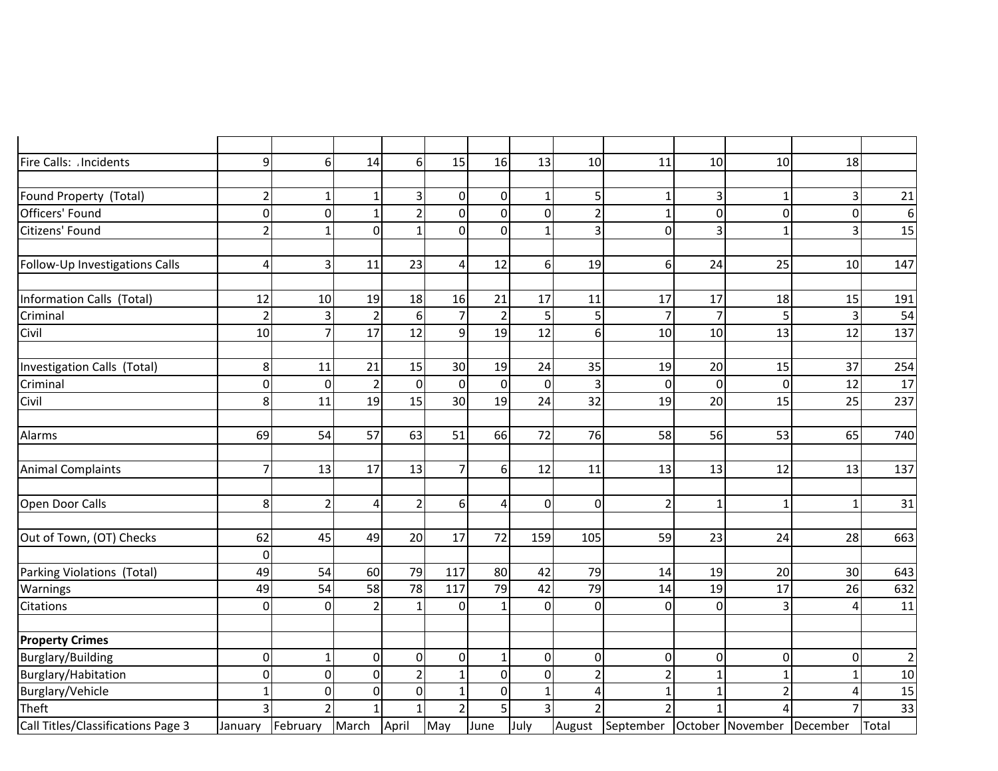| Fire Calls: Incidents              | 9                       | 6              | 14             | $6 \mid$       | 15                       | 16             | 13             | 10             | 11                                | 10 <sup>1</sup> | 10       | 18              |             |
|------------------------------------|-------------------------|----------------|----------------|----------------|--------------------------|----------------|----------------|----------------|-----------------------------------|-----------------|----------|-----------------|-------------|
|                                    |                         |                |                |                |                          |                |                |                |                                   |                 |          |                 |             |
| Found Property (Total)             | $\overline{2}$          | -1             | $\mathbf 1$    |                | $\overline{0}$           | $\overline{0}$ |                | 5              |                                   | 3               |          | 3               | 21          |
| Officers' Found                    | $\mathbf 0$             | $\overline{0}$ | $\mathbf{1}$   | $\mathfrak{p}$ | $\Omega$                 | $\overline{0}$ | $\mathbf 0$    | $\overline{2}$ | $\mathbf{1}$                      | $\overline{0}$  | $\Omega$ | $\overline{0}$  | 6           |
| Citizens' Found                    | $\overline{2}$          | $\mathbf{1}$   | $\overline{0}$ |                | $\Omega$                 | $\overline{0}$ | $\mathbf{1}$   | 3              | $\overline{0}$                    | $\overline{3}$  | 1        | 3               | 15          |
|                                    |                         |                |                |                |                          |                |                |                |                                   |                 |          |                 |             |
| Follow-Up Investigations Calls     | $\overline{\mathbf{4}}$ | 3              | 11             | 23             | $\vert$                  | 12             | $6 \mid$       | 19             | 6                                 | 24              | 25       | 10              | 147         |
|                                    |                         |                |                |                |                          |                |                |                |                                   |                 |          |                 |             |
| <b>Information Calls (Total)</b>   | 12                      | 10             | 19             | 18             | 16                       | 21             | 17             | 11             | 17                                | 17              | 18       | 15              | 191         |
| Criminal                           | $\overline{2}$          | 3              | $\overline{2}$ | $6 \mid$       | 7                        | $\overline{2}$ | 5              | 5              | 7                                 | $\overline{7}$  |          | 3               | 54          |
| Civil                              | 10                      | $\overline{7}$ | 17             | 12             | 9 <sup>1</sup>           | 19             | 12             | 6              | 10                                | 10              | 13       | 12              | 137         |
|                                    |                         |                |                |                |                          |                |                |                |                                   |                 |          |                 |             |
| Investigation Calls (Total)        | 8                       | 11             | 21             | 15             | 30 <sup>1</sup>          | 19             | 24             | 35             | 19                                | 20              | 15       | 37              | 254         |
| Criminal                           | $\mathbf 0$             | $\overline{0}$ | $\overline{2}$ | $\mathbf 0$    | $\overline{0}$           | $\overline{0}$ | $\pmb{0}$      | 3              | $\mathbf 0$                       | $\overline{0}$  | $\Omega$ | 12              | 17          |
| Civil                              | 8                       | 11             | 19             | 15             | 30 <sup>1</sup>          | 19             | 24             | 32             | 19                                | 20              | 15       | 25              | 237         |
|                                    |                         |                |                |                |                          |                |                |                |                                   |                 |          |                 |             |
| Alarms                             | 69                      | 54             | 57             | 63             | 51                       | 66             | 72             | 76             | 58                                | 56              | 53       | 65              | 740         |
|                                    |                         |                |                |                |                          |                |                |                |                                   |                 |          |                 |             |
| <b>Animal Complaints</b>           | $\overline{7}$          | 13             | 17             | 13             | $\overline{7}$           | 6 <sup>1</sup> | 12             | 11             | 13                                | 13              | 12       | 13              | 137         |
|                                    |                         |                |                |                |                          |                |                |                |                                   |                 |          |                 |             |
| Open Door Calls                    | 8                       | $\overline{2}$ | $\overline{4}$ | $\overline{2}$ | 6 <sup>1</sup>           | $\vert$        | $\overline{0}$ | 0              | $\overline{2}$                    | 1               | 1        | $\mathbf{1}$    | 31          |
|                                    |                         |                |                |                |                          |                |                |                |                                   |                 |          |                 |             |
| Out of Town, (OT) Checks           | 62                      | 45             | 49             | 20             | 17                       | 72             | 159            | 105            | 59                                | 23              | 24       | 28              | 663         |
|                                    | $\mathbf 0$             |                |                |                |                          |                |                |                |                                   |                 |          |                 |             |
| Parking Violations (Total)         | 49                      | 54             | 60             | 79             | 117                      | 80             | 42             | 79             | 14                                | 19              | 20       | 30 <sup>°</sup> | 643         |
| Warnings                           | 49                      | 54             | 58             | 78             | 117                      | 79             | 42             | 79             | 14                                | 19              | 17       | 26              | 632         |
| <b>Citations</b>                   | 0                       | $\overline{0}$ | $\overline{2}$ | $\mathbf 1$    | $\Omega$                 | $\mathbf{1}$   | $\mathbf 0$    | 0              | $\mathbf 0$                       | $\overline{0}$  | 3        | $\overline{A}$  | 11          |
|                                    |                         |                |                |                |                          |                |                |                |                                   |                 |          |                 |             |
| <b>Property Crimes</b>             |                         |                |                |                |                          |                |                |                |                                   |                 |          |                 |             |
| Burglary/Building                  | $\mathbf 0$             | $\mathbf{1}$   | $\overline{0}$ | $\overline{0}$ | $\overline{0}$           | $\mathbf{1}$   | $\overline{0}$ | $\overline{0}$ | $\overline{0}$                    | 0               | $\Omega$ | $\overline{0}$  | $\mathbf 2$ |
| Burglary/Habitation                | $\boldsymbol{0}$        | $\overline{0}$ | $\mathbf 0$    |                |                          | $\overline{0}$ | $\overline{0}$ | $\overline{2}$ | 2                                 |                 |          | 1               | 10          |
| Burglary/Vehicle                   | $\mathbf{1}$            | $\mathbf 0$    | $\mathbf 0$    | $\mathbf{0}$   | 1                        | $\overline{0}$ |                | 4              | $\mathbf{1}$                      | 1               |          | 4               | 15          |
| Theft                              | 3                       | $\overline{2}$ | $\mathbf{1}$   |                | $\overline{\mathcal{L}}$ | 5 <sup>1</sup> | 3              | $\overline{2}$ |                                   |                 |          | $\overline{7}$  | 33          |
| Call Titles/Classifications Page 3 | January                 | February       | March          | April          | May                      | June           | July           |                | August September October November |                 |          | December        | Total       |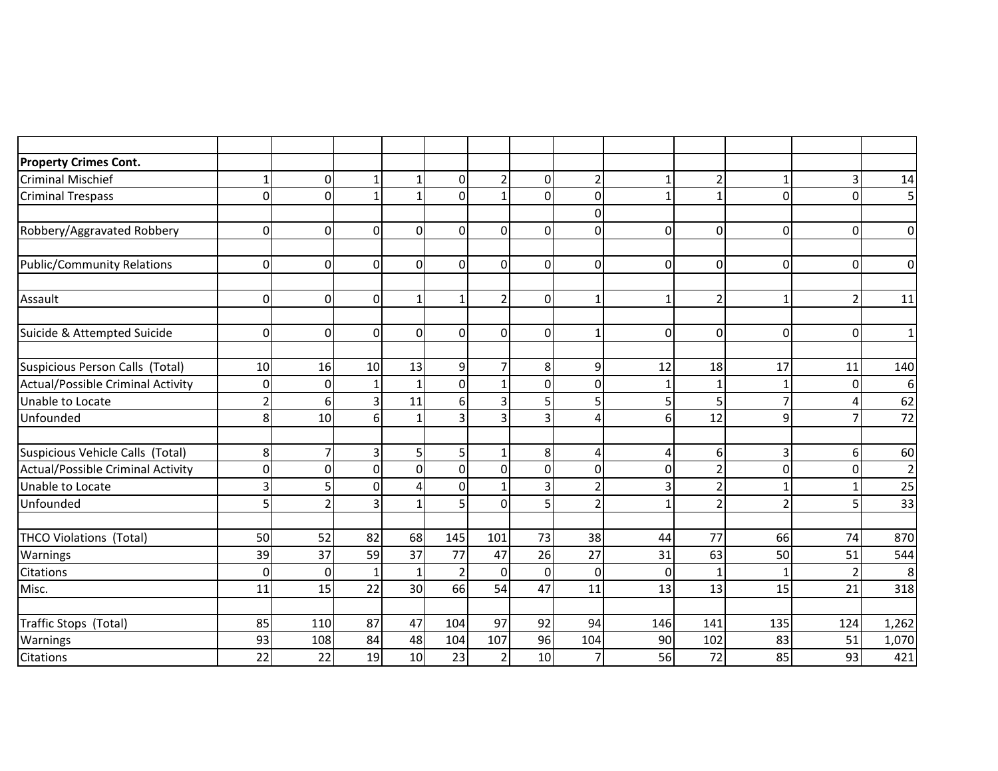| <b>Property Crimes Cont.</b>             |                |                |                 |                 |                |                |                |                |          |                |                |                |                |
|------------------------------------------|----------------|----------------|-----------------|-----------------|----------------|----------------|----------------|----------------|----------|----------------|----------------|----------------|----------------|
| <b>Criminal Mischief</b>                 | 1              | 0              |                 | -1              | 0              | $\overline{2}$ | 0              | $\overline{2}$ |          | 2              |                | $\overline{3}$ | 14             |
| <b>Criminal Trespass</b>                 | 0              | $\overline{0}$ | $\mathbf 1$     | 1               | $\Omega$       | 1              | $\Omega$       | $\overline{0}$ |          | $\mathbf{1}$   | $\mathbf{0}$   | $\Omega$       | 5              |
|                                          |                |                |                 |                 |                |                |                | $\overline{0}$ |          |                |                |                |                |
| Robbery/Aggravated Robbery               | 0              | $\mathbf 0$    | $\mathbf 0$     | οI              | 0              | 0              | $\Omega$       | $\overline{0}$ | 0        | $\mathbf 0$    | $\mathbf 0$    | $\overline{0}$ | $\mathbf 0$    |
| <b>Public/Community Relations</b>        | 0              | $\mathbf{0}$   | $\overline{0}$  | $\overline{0}$  | $\Omega$       | 0              | $\Omega$       | $\overline{0}$ | $\Omega$ | $\overline{0}$ | $\Omega$       | 0              | $\overline{0}$ |
|                                          |                |                |                 |                 |                |                |                |                |          |                |                |                |                |
| Assault                                  | 0              | $\Omega$       | $\mathbf{0}$    |                 | 1              | $\overline{2}$ | $\Omega$       | $\mathbf{1}$   |          | $\overline{2}$ |                | 2              | 11             |
| Suicide & Attempted Suicide              | 0              | $\mathbf{0}$   | $\overline{0}$  | $\overline{0}$  | $\Omega$       | 0              | $\Omega$       | $\mathbf{1}$   | 0        | $\overline{0}$ | $\overline{0}$ | 0              | $\mathbf 1$    |
| Suspicious Person Calls (Total)          | 10             | 16             | 10 <sup>1</sup> | 13              | 9              | $\overline{7}$ | 8 <sup>1</sup> | $\overline{9}$ | 12       | 18             | 17             | 11             | 140            |
| Actual/Possible Criminal Activity        | 0              | $\mathbf{0}$   |                 |                 | $\overline{0}$ | $\mathbf{1}$   | 0              | $\overline{0}$ |          | $\mathbf 1$    |                | $\Omega$       | 6              |
| Unable to Locate                         | $\overline{2}$ | 6              | 3               | 11              | 6              | 3              | 5              | 5              | 5        | 5              | 7              |                | 62             |
| Unfounded                                | 8              | 10             | 6               |                 | 3              | 3              | 3              | 4              | 6        | 12             | 9              | 7              | 72             |
|                                          |                |                |                 |                 |                |                |                |                |          |                |                |                |                |
| Suspicious Vehicle Calls (Total)         | 8              | $\overline{7}$ | $\overline{3}$  | 5 <sup>1</sup>  | 5              | $\mathbf{1}$   | 8 <sup>1</sup> | 4              | $\Delta$ | 6 <sup>1</sup> | $\overline{3}$ | 6 <sup>1</sup> | 60             |
| <b>Actual/Possible Criminal Activity</b> | $\overline{0}$ | $\mathbf{0}$   | $\overline{0}$  | $\Omega$        | $\overline{0}$ | $\mathbf 0$    | 0              | $\mathbf 0$    | O        | $\overline{2}$ | $\mathbf{0}$   | 0              | $\overline{c}$ |
| Unable to Locate                         | 3              | 5              | $\overline{0}$  |                 | 0              | 1              | 3              | $\overline{2}$ | ς        | $\overline{2}$ |                | 1              | 25             |
| Unfounded                                | 5              | 2              | 3               |                 | 5              | $\Omega$       | 5              | $\overline{2}$ |          | $\overline{2}$ | $\overline{2}$ | 5              | 33             |
| <b>THCO Violations (Total)</b>           | 50             | 52             | 82              | 68              | 145            | 101            | 73             | 38             | 44       | 77             | 66             | 74             | 870            |
| Warnings                                 | 39             | 37             | 59              | 37              | 77             | 47             | 26             | 27             | 31       | 63             | 50             | 51             | 544            |
| Citations                                | $\mathbf 0$    | $\mathbf 0$    | $\mathbf{1}$    | $\mathbf{1}$    | $\overline{2}$ | $\mathbf 0$    | $\Omega$       | $\overline{0}$ | 0        | $\mathbf{1}$   |                | $\overline{2}$ | 8              |
| Misc.                                    | 11             | 15             | 22              | 30 <sup>1</sup> | 66             | 54             | 47             | 11             | 13       | 13             | 15             | 21             | 318            |
|                                          |                |                |                 |                 |                |                |                |                |          |                |                |                |                |
| Traffic Stops (Total)                    | 85             | 110            | 87              | 47              | 104            | 97             | 92             | 94             | 146      | 141            | 135            | 124            | 1,262          |
| Warnings                                 | 93             | 108            | 84              | 48              | 104            | 107            | 96             | 104            | 90       | 102            | 83             | 51             | 1,070          |
| <b>Citations</b>                         | 22             | 22             | 19              | 10              | 23             | $\overline{2}$ | 10             | $\overline{7}$ | 56       | 72             | 85             | 93             | 421            |